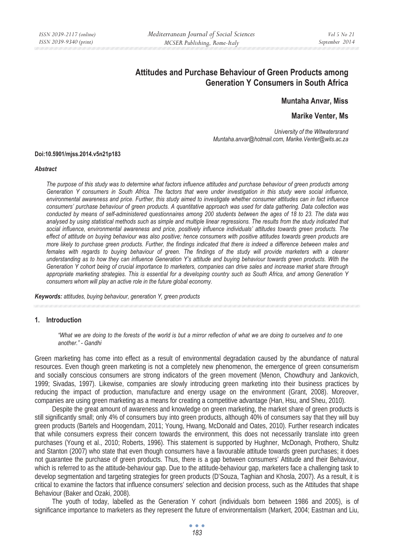# **Attitudes and Purchase Behaviour of Green Products among Generation Y Consumers in South Africa**

### **Muntaha Anvar, Miss**

### **Marike Venter, Ms**

*University of the Witwatersrand Muntaha.anvar@hotmail.com, Marike.Venter@wits.ac.za* 

#### **Doi:10.5901/mjss.2014.v5n21p183**

#### *Abstract*

*The purpose of this study was to determine what factors influence attitudes and purchase behaviour of green products among Generation Y consumers in South Africa. The factors that were under investigation in this study were social influence, environmental awareness and price. Further, this study aimed to investigate whether consumer attitudes can in fact influence consumers' purchase behaviour of green products. A quantitative approach was used for data gathering. Data collection was conducted by means of self-administered questionnaires among 200 students between the ages of 18 to 23. The data was analysed by using statistical methods such as simple and multiple linear regressions. The results from the study indicated that social influence, environmental awareness and price, positively influence individuals' attitudes towards green products. The effect of attitude on buying behaviour was also positive; hence consumers with positive attitudes towards green products are more likely to purchase green products. Further, the findings indicated that there is indeed a difference between males and*  females with regards to buying behaviour of green. The findings of the study will provide marketers with a clearer *understanding as to how they can influence Generation Y's attitude and buying behaviour towards green products. With the Generation Y cohort being of crucial importance to marketers, companies can drive sales and increase market share through appropriate marketing strategies. This is essential for a developing country such as South Africa, and among Generation Y consumers whom will play an active role in the future global economy.* 

*Keywords: attitudes, buying behaviour, generation Y, green products* 

#### **1. Introduction**

*"What we are doing to the forests of the world is but a mirror reflection of what we are doing to ourselves and to one another." - Gandhi* 

Green marketing has come into effect as a result of environmental degradation caused by the abundance of natural resources. Even though green marketing is not a completely new phenomenon, the emergence of green consumerism and socially conscious consumers are strong indicators of the green movement (Menon, Chowdhury and Jankovich, 1999; Sivadas, 1997). Likewise, companies are slowly introducing green marketing into their business practices by reducing the impact of production, manufacture and energy usage on the environment (Grant, 2008). Moreover, companies are using green marketing as a means for creating a competitive advantage (Han, Hsu, and Sheu, 2010).

Despite the great amount of awareness and knowledge on green marketing, the market share of green products is still significantly small; only 4% of consumers buy into green products, although 40% of consumers say that they will buy green products (Bartels and Hoogendam, 2011; Young, Hwang, McDonald and Oates, 2010). Further research indicates that while consumers express their concern towards the environment, this does not necessarily translate into green purchases (Young et al., 2010; Roberts, 1996). This statement is supported by Hughner, McDonagh, Prothero, Shultz and Stanton (2007) who state that even though consumers have a favourable attitude towards green purchases; it does not guarantee the purchase of green products. Thus, there is a gap between consumers' Attitude and their Behaviour, which is referred to as the attitude-behaviour gap. Due to the attitude-behaviour gap, marketers face a challenging task to develop segmentation and targeting strategies for green products (D'Souza, Taghian and Khosla, 2007). As a result, it is critical to examine the factors that influence consumers' selection and decision process, such as the Attitudes that shape Behaviour (Baker and Ozaki, 2008).

The youth of today, labelled as the Generation Y cohort (individuals born between 1986 and 2005), is of significance importance to marketers as they represent the future of environmentalism (Markert, 2004; Eastman and Liu,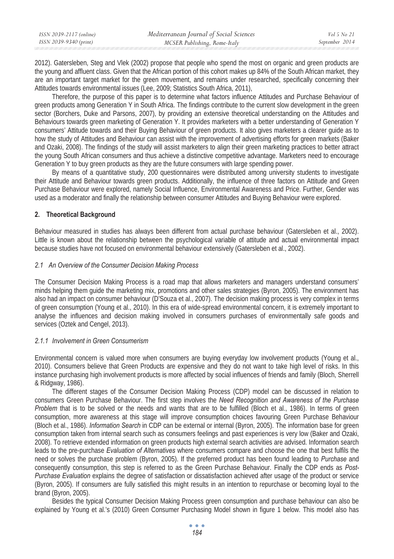| ISSN 2039-2117 (online) | Mediterranean Journal of Social Sciences | Vol 5 No 21    |
|-------------------------|------------------------------------------|----------------|
| ISSN 2039-9340 (print)  | MCSER Publishing, Rome-Italy             | September 2014 |
|                         |                                          |                |

2012). Gatersleben, Steg and Vlek (2002) propose that people who spend the most on organic and green products are the young and affluent class. Given that the African portion of this cohort makes up 84% of the South African market, they are an important target market for the green movement, and remains under researched, specifically concerning their Attitudes towards environmental issues (Lee, 2009; Statistics South Africa, 2011),

Therefore, the purpose of this paper is to determine what factors influence Attitudes and Purchase Behaviour of green products among Generation Y in South Africa. The findings contribute to the current slow development in the green sector (Borchers, Duke and Parsons, 2007), by providing an extensive theoretical understanding on the Attitudes and Behaviours towards green marketing of Generation Y. It provides marketers with a better understanding of Generation Y consumers' Attitude towards and their Buying Behaviour of green products. It also gives marketers a clearer guide as to how the study of Attitudes and Behaviour can assist with the improvement of advertising efforts for green markets (Baker and Ozaki, 2008). The findings of the study will assist marketers to align their green marketing practices to better attract the young South African consumers and thus achieve a distinctive competitive advantage. Marketers need to encourage Generation Y to buy green products as they are the future consumers with large spending power.

By means of a quantitative study, 200 questionnaires were distributed among university students to investigate their Attitude and Behaviour towards green products. Additionally, the influence of three factors on Attitude and Green Purchase Behaviour were explored, namely Social Influence, Environmental Awareness and Price. Further, Gender was used as a moderator and finally the relationship between consumer Attitudes and Buying Behaviour were explored.

# **2. Theoretical Background**

Behaviour measured in studies has always been different from actual purchase behaviour (Gatersleben et al., 2002). Little is known about the relationship between the psychological variable of attitude and actual environmental impact because studies have not focused on environmental behaviour extensively (Gatersleben et al., 2002).

# *2.1 An Overview of the Consumer Decision Making Process*

The Consumer Decision Making Process is a road map that allows marketers and managers understand consumers' minds helping them guide the marketing mix, promotions and other sales strategies (Byron, 2005). The environment has also had an impact on consumer behaviour (D'Souza et al., 2007). The decision making process is very complex in terms of green consumption (Young et al., 2010). In this era of wide-spread environmental concern, it is extremely important to analyse the influences and decision making involved in consumers purchases of environmentally safe goods and services (Oztek and Cengel, 2013).

#### *2.1.1 Involvement in Green Consumerism*

Environmental concern is valued more when consumers are buying everyday low involvement products (Young et al., 2010). Consumers believe that Green Products are expensive and they do not want to take high level of risks. In this instance purchasing high involvement products is more affected by social influences of friends and family (Bloch, Sherrell & Ridgway, 1986).

The different stages of the Consumer Decision Making Process (CDP) model can be discussed in relation to consumers Green Purchase Behaviour. The first step involves the *Need Recognition and Awareness of the Purchase Problem* that is to be solved or the needs and wants that are to be fulfilled (Bloch et al., 1986). In terms of green consumption, more awareness at this stage will improve consumption choices favouring Green Purchase Behaviour (Bloch et al., 1986). *Information Search* in CDP can be external or internal (Byron, 2005). The information base for green consumption taken from internal search such as consumers feelings and past experiences is very low (Baker and Ozaki, 2008). To retrieve extended information on green products high external search activities are advised. Information search leads to the pre-purchase *Evaluation of Alternatives* where consumers compare and choose the one that best fulfils the need or solves the purchase problem (Byron, 2005). If the preferred product has been found leading to *Purchase* and consequently consumption, this step is referred to as the Green Purchase Behaviour. Finally the CDP ends as *Post-Purchase Evaluation* explains the degree of satisfaction or dissatisfaction achieved after usage of the product or service (Byron, 2005). If consumers are fully satisfied this might results in an intention to repurchase or becoming loyal to the brand (Byron, 2005).

Besides the typical Consumer Decision Making Process green consumption and purchase behaviour can also be explained by Young et al.'s (2010) Green Consumer Purchasing Model shown in figure 1 below. This model also has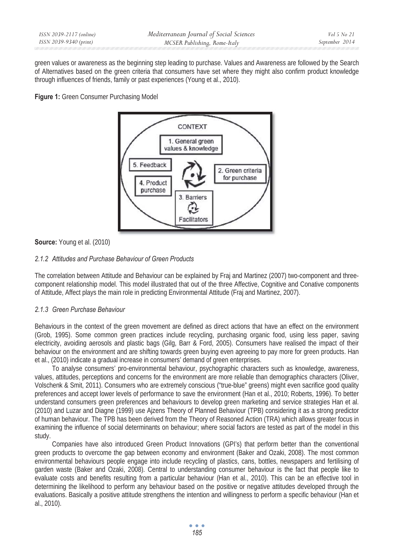green values or awareness as the beginning step leading to purchase. Values and Awareness are followed by the Search of Alternatives based on the green criteria that consumers have set where they might also confirm product knowledge through influences of friends, family or past experiences (Young et al., 2010).

**Figure 1:** Green Consumer Purchasing Model



# **Source:** Young et al. (2010)

# *2.1.2 Attitudes and Purchase Behaviour of Green Products*

The correlation between Attitude and Behaviour can be explained by Fraj and Martinez (2007) two-component and threecomponent relationship model. This model illustrated that out of the three Affective, Cognitive and Conative components of Attitude, Affect plays the main role in predicting Environmental Attitude (Fraj and Martinez, 2007).

# *2.1.3 Green Purchase Behaviour*

Behaviours in the context of the green movement are defined as direct actions that have an effect on the environment (Grob, 1995). Some common green practices include recycling, purchasing organic food, using less paper, saving electricity, avoiding aerosols and plastic bags (Gilg, Barr & Ford, 2005). Consumers have realised the impact of their behaviour on the environment and are shifting towards green buying even agreeing to pay more for green products. Han et al., (2010) indicate a gradual increase in consumers' demand of green enterprises.

To analyse consumers' pro-environmental behaviour, psychographic characters such as knowledge, awareness, values, attitudes, perceptions and concerns for the environment are more reliable than demographics characters (Oliver, Volschenk & Smit, 2011). Consumers who are extremely conscious ("true-blue" greens) might even sacrifice good quality preferences and accept lower levels of performance to save the environment (Han et al., 2010; Roberts, 1996). To better understand consumers green preferences and behaviours to develop green marketing and service strategies Han et al. (2010) and Luzar and Diagne (1999) use Ajzens Theory of Planned Behaviour (TPB) considering it as a strong predictor of human behaviour. The TPB has been derived from the Theory of Reasoned Action (TRA) which allows greater focus in examining the influence of social determinants on behaviour; where social factors are tested as part of the model in this study.

Companies have also introduced Green Product Innovations (GPI's) that perform better than the conventional green products to overcome the gap between economy and environment (Baker and Ozaki, 2008). The most common environmental behaviours people engage into include recycling of plastics, cans, bottles, newspapers and fertilising of garden waste (Baker and Ozaki, 2008). Central to understanding consumer behaviour is the fact that people like to evaluate costs and benefits resulting from a particular behaviour (Han et al., 2010). This can be an effective tool in determining the likelihood to perform any behaviour based on the positive or negative attitudes developed through the evaluations. Basically a positive attitude strengthens the intention and willingness to perform a specific behaviour (Han et al., 2010).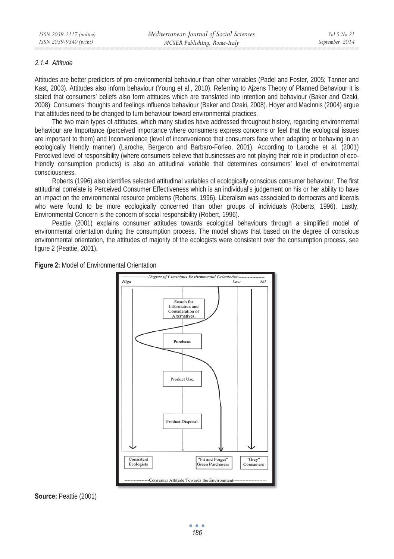#### *2.1.4 Attitude*

Attitudes are better predictors of pro-environmental behaviour than other variables (Padel and Foster, 2005; Tanner and Kast, 2003). Attitudes also inform behaviour (Young et al., 2010). Referring to Ajzens Theory of Planned Behaviour it is stated that consumers' beliefs also form attitudes which are translated into intention and behaviour (Baker and Ozaki, 2008). Consumers' thoughts and feelings influence behaviour (Baker and Ozaki, 2008). Hoyer and MacInnis (2004) argue that attitudes need to be changed to turn behaviour toward environmental practices.

The two main types of attitudes, which many studies have addressed throughout history, regarding environmental behaviour are Importance (perceived importance where consumers express concerns or feel that the ecological issues are important to them) and Inconvenience (level of inconvenience that consumers face when adapting or behaving in an ecologically friendly manner) (Laroche, Bergeron and Barbaro-Forleo, 2001). According to Laroche et al. (2001) Perceived level of responsibility (where consumers believe that businesses are not playing their role in production of ecofriendly consumption products) is also an attitudinal variable that determines consumers' level of environmental consciousness.

Roberts (1996) also identifies selected attitudinal variables of ecologically conscious consumer behaviour. The first attitudinal correlate is Perceived Consumer Effectiveness which is an individual's judgement on his or her ability to have an impact on the environmental resource problems (Roberts, 1996). Liberalism was associated to democrats and liberals who were found to be more ecologically concerned than other groups of individuals (Roberts, 1996). Lastly, Environmental Concern is the concern of social responsibility (Robert, 1996).

Peattie (2001) explains consumer attitudes towards ecological behaviours through a simplified model of environmental orientation during the consumption process. The model shows that based on the degree of conscious environmental orientation, the attitudes of majority of the ecologists were consistent over the consumption process, see figure 2 (Peattie, 2001).

**Figure 2:** Model of Environmental Orientation



**Source:** Peattie (2001)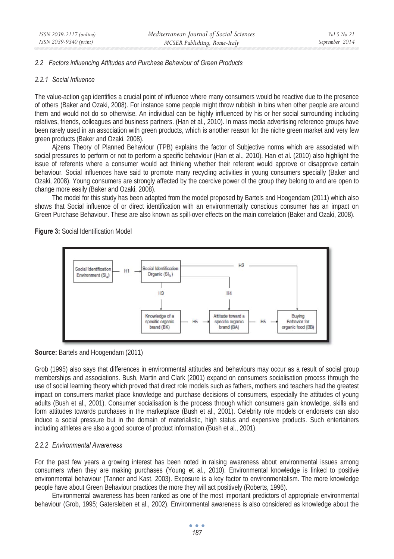# *2.2 Factors influencing Attitudes and Purchase Behaviour of Green Products*

#### *2.2.1 Social Influence*

The value-action gap identifies a crucial point of influence where many consumers would be reactive due to the presence of others (Baker and Ozaki, 2008). For instance some people might throw rubbish in bins when other people are around them and would not do so otherwise. An individual can be highly influenced by his or her social surrounding including relatives, friends, colleagues and business partners. (Han et al., 2010). In mass media advertising reference groups have been rarely used in an association with green products, which is another reason for the niche green market and very few green products (Baker and Ozaki, 2008).

Ajzens Theory of Planned Behaviour (TPB) explains the factor of Subjective norms which are associated with social pressures to perform or not to perform a specific behaviour (Han et al., 2010). Han et al. (2010) also highlight the issue of referents where a consumer would act thinking whether their referent would approve or disapprove certain behaviour. Social influences have said to promote many recycling activities in young consumers specially (Baker and Ozaki, 2008). Young consumers are strongly affected by the coercive power of the group they belong to and are open to change more easily (Baker and Ozaki, 2008).

The model for this study has been adapted from the model proposed by Bartels and Hoogendam (2011) which also shows that Social influence of or direct identification with an environmentally conscious consumer has an impact on Green Purchase Behaviour. These are also known as spill-over effects on the main correlation (Baker and Ozaki, 2008).

**Figure 3:** Social Identification Model



**Source:** Bartels and Hoogendam (2011)

Grob (1995) also says that differences in environmental attitudes and behaviours may occur as a result of social group memberships and associations. Bush, Martin and Clark (2001) expand on consumers socialisation process through the use of social learning theory which proved that direct role models such as fathers, mothers and teachers had the greatest impact on consumers market place knowledge and purchase decisions of consumers, especially the attitudes of young adults (Bush et al., 2001). Consumer socialisation is the process through which consumers gain knowledge, skills and form attitudes towards purchases in the marketplace (Bush et al., 2001). Celebrity role models or endorsers can also induce a social pressure but in the domain of materialistic, high status and expensive products. Such entertainers including athletes are also a good source of product information (Bush et al., 2001).

# *2.2.2 Environmental Awareness*

For the past few years a growing interest has been noted in raising awareness about environmental issues among consumers when they are making purchases (Young et al., 2010). Environmental knowledge is linked to positive environmental behaviour (Tanner and Kast, 2003). Exposure is a key factor to environmentalism. The more knowledge people have about Green Behaviour practices the more they will act positively (Roberts, 1996).

Environmental awareness has been ranked as one of the most important predictors of appropriate environmental behaviour (Grob, 1995; Gatersleben et al., 2002). Environmental awareness is also considered as knowledge about the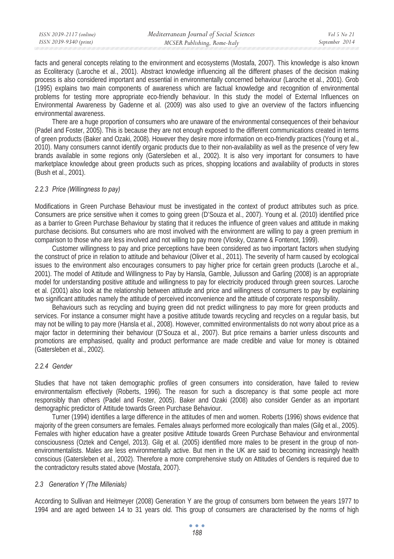| ISSN 2039-9340 (print)<br>September 2014<br>MCSER Publishing, Rome-Italy |  |
|--------------------------------------------------------------------------|--|

facts and general concepts relating to the environment and ecosystems (Mostafa, 2007). This knowledge is also known as Ecoliteracy (Laroche et al., 2001). Abstract knowledge influencing all the different phases of the decision making process is also considered important and essential in environmentally concerned behaviour (Laroche et al., 2001). Grob (1995) explains two main components of awareness which are factual knowledge and recognition of environmental problems for testing more appropriate eco-friendly behaviour. In this study the model of External Influences on Environmental Awareness by Gadenne et al. (2009) was also used to give an overview of the factors influencing environmental awareness.

There are a huge proportion of consumers who are unaware of the environmental consequences of their behaviour (Padel and Foster, 2005). This is because they are not enough exposed to the different communications created in terms of green products (Baker and Ozaki, 2008). However they desire more information on eco-friendly practices (Young et al., 2010). Many consumers cannot identify organic products due to their non-availability as well as the presence of very few brands available in some regions only (Gatersleben et al., 2002). It is also very important for consumers to have marketplace knowledge about green products such as prices, shopping locations and availability of products in stores (Bush et al., 2001).

#### *2.2.3 Price (Willingness to pay)*

Modifications in Green Purchase Behaviour must be investigated in the context of product attributes such as price. Consumers are price sensitive when it comes to going green (D'Souza et al., 2007). Young et al. (2010) identified price as a barrier to Green Purchase Behaviour by stating that it reduces the influence of green values and attitude in making purchase decisions. But consumers who are most involved with the environment are willing to pay a green premium in comparison to those who are less involved and not willing to pay more (Vlosky, Ozanne & Fontenot, 1999).

Customer willingness to pay and price perceptions have been considered as two important factors when studying the construct of price in relation to attitude and behaviour (Oliver et al., 2011). The severity of harm caused by ecological issues to the environment also encourages consumers to pay higher price for certain green products (Laroche et al., 2001). The model of Attitude and Willingness to Pay by Hansla, Gamble, Juliusson and Garling (2008) is an appropriate model for understanding positive attitude and willingness to pay for electricity produced through green sources. Laroche et al. (2001) also look at the relationship between attitude and price and willingness of consumers to pay by explaining two significant attitudes namely the attitude of perceived inconvenience and the attitude of corporate responsibility.

Behaviours such as recycling and buying green did not predict willingness to pay more for green products and services. For instance a consumer might have a positive attitude towards recycling and recycles on a regular basis, but may not be willing to pay more (Hansla et al., 2008). However, committed environmentalists do not worry about price as a major factor in determining their behaviour (D'Souza et al., 2007). But price remains a barrier unless discounts and promotions are emphasised, quality and product performance are made credible and value for money is obtained (Gatersleben et al., 2002).

#### *2.2.4 Gender*

Studies that have not taken demographic profiles of green consumers into consideration, have failed to review environmentalism effectively (Roberts, 1996). The reason for such a discrepancy is that some people act more responsibly than others (Padel and Foster, 2005). Baker and Ozaki (2008) also consider Gender as an important demographic predictor of Attitude towards Green Purchase Behaviour.

Turner (1994) identifies a large difference in the attitudes of men and women. Roberts (1996) shows evidence that majority of the green consumers are females. Females always performed more ecologically than males (Gilg et al., 2005). Females with higher education have a greater positive Attitude towards Green Purchase Behaviour and environmental consciousness (Oztek and Cengel, 2013). Gilg et al. (2005) identified more males to be present in the group of nonenvironmentalists. Males are less environmentally active. But men in the UK are said to becoming increasingly health conscious (Gatersleben et al., 2002). Therefore a more comprehensive study on Attitudes of Genders is required due to the contradictory results stated above (Mostafa, 2007).

#### *2.3 Generation Y (The Millenials)*

According to Sullivan and Heitmeyer (2008) Generation Y are the group of consumers born between the years 1977 to 1994 and are aged between 14 to 31 years old. This group of consumers are characterised by the norms of high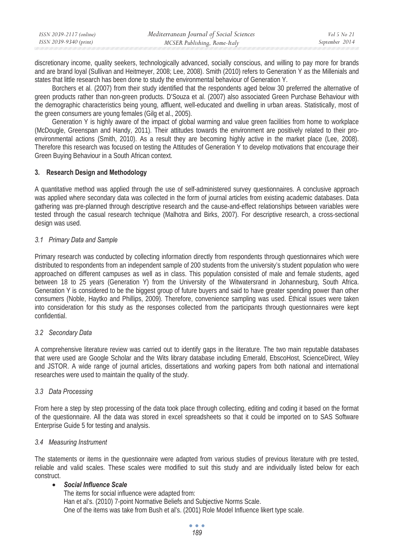| ISSN 2039-2117 (online) | Mediterranean Journal of Social Sciences | Vol 5 No 21    |
|-------------------------|------------------------------------------|----------------|
| ISSN 2039-9340 (print)  | MCSER Publishing, Rome-Italy             | September 2014 |

discretionary income, quality seekers, technologically advanced, socially conscious, and willing to pay more for brands and are brand loyal (Sullivan and Heitmeyer, 2008; Lee, 2008). Smith (2010) refers to Generation Y as the Millenials and states that little research has been done to study the environmental behaviour of Generation Y.

Borchers et al. (2007) from their study identified that the respondents aged below 30 preferred the alternative of green products rather than non-green products. D'Souza et al. (2007) also associated Green Purchase Behaviour with the demographic characteristics being young, affluent, well-educated and dwelling in urban areas. Statistically, most of the green consumers are young females (Gilg et al., 2005).

Generation Y is highly aware of the impact of global warming and value green facilities from home to workplace (McDougle, Greenspan and Handy, 2011). Their attitudes towards the environment are positively related to their proenvironmental actions (Smith, 2010). As a result they are becoming highly active in the market place (Lee, 2008). Therefore this research was focused on testing the Attitudes of Generation Y to develop motivations that encourage their Green Buying Behaviour in a South African context.

# **3. Research Design and Methodology**

A quantitative method was applied through the use of self-administered survey questionnaires. A conclusive approach was applied where secondary data was collected in the form of journal articles from existing academic databases. Data gathering was pre-planned through descriptive research and the cause-and-effect relationships between variables were tested through the casual research technique (Malhotra and Birks, 2007). For descriptive research, a cross-sectional design was used.

# *3.1 Primary Data and Sample*

Primary research was conducted by collecting information directly from respondents through questionnaires which were distributed to respondents from an independent sample of 200 students from the university's student population who were approached on different campuses as well as in class. This population consisted of male and female students, aged between 18 to 25 years (Generation Y) from the University of the Witwatersrand in Johannesburg, South Africa. Generation Y is considered to be the biggest group of future buyers and said to have greater spending power than other consumers (Noble, Haytko and Phillips, 2009). Therefore, convenience sampling was used. Ethical issues were taken into consideration for this study as the responses collected from the participants through questionnaires were kept confidential.

# *3.2 Secondary Data*

A comprehensive literature review was carried out to identify gaps in the literature. The two main reputable databases that were used are Google Scholar and the Wits library database including Emerald, EbscoHost, ScienceDirect, Wiley and JSTOR. A wide range of journal articles, dissertations and working papers from both national and international researches were used to maintain the quality of the study.

# *3.3 Data Processing*

From here a step by step processing of the data took place through collecting, editing and coding it based on the format of the questionnaire. All the data was stored in excel spreadsheets so that it could be imported on to SAS Software Enterprise Guide 5 for testing and analysis.

#### *3.4 Measuring Instrument*

The statements or items in the questionnaire were adapted from various studies of previous literature with pre tested, reliable and valid scales. These scales were modified to suit this study and are individually listed below for each construct.

#### • *Social Influence Scale*

The items for social influence were adapted from: Han et al's. (2010) 7-point Normative Beliefs and Subjective Norms Scale. One of the items was take from Bush et al's. (2001) Role Model Influence likert type scale.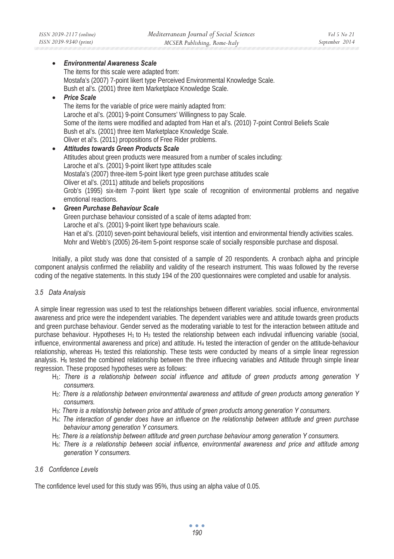#### • *Environmental Awareness Scale*

The items for this scale were adapted from: Mostafa's (2007) 7-point likert type Perceived Environmental Knowledge Scale. Bush et al's. (2001) three item Marketplace Knowledge Scale.

# • *Price Scale*  The items for the variable of price were mainly adapted from: Laroche et al's. (2001) 9-point Consumers' Willingness to pay Scale. Some of the items were modified and adapted from Han et al's. (2010) 7-point Control Beliefs Scale Bush et al's. (2001) three item Marketplace Knowledge Scale. Oliver et al's. (2011) propositions of Free Rider problems. • *Attitudes towards Green Products Scale*

Attitudes about green products were measured from a number of scales including: Laroche et al's. (2001) 9-point likert type attitudes scale Mostafa's (2007) three-item 5-point likert type green purchase attitudes scale Oliver et al's. (2011) attitude and beliefs propositions Grob's (1995) six-item 7-point likert type scale of recognition of environmental problems and negative emotional reactions.

# • *Green Purchase Behaviour Scale*

Green purchase behaviour consisted of a scale of items adapted from: Laroche et al's. (2001) 9-point likert type behaviours scale. Han et al's. (2010) seven-point behavioural beliefs, visit intention and environmental friendly activities scales. Mohr and Webb's (2005) 26-item 5-point response scale of socially responsible purchase and disposal.

Initially, a pilot study was done that consisted of a sample of 20 respondents. A cronbach alpha and principle component analysis confirmed the reliability and validity of the research instrument. This waas followed by the reverse coding of the negative statements. In this study 194 of the 200 questionnaires were completed and usable for analysis.

#### *3.5 Data Analysis*

A simple linear regression was used to test the relationships between different variables. social influence, environmental awareness and price were the independent variables. The dependent variables were and attitude towards green products and green purchase behaviour. Gender served as the moderating variable to test for the interaction between attitude and purchase behaviour. Hypotheses H<sub>1</sub> to H<sub>3</sub> tested the relationship between each indivudal influencing variable (social, influence, environmental awareness and price) and attitude. H4 tested the interaction of gender on the attitude-behaviour relationship, whereas H5 tested this relationship. These tests were conducted by means of a simple linear regression analysis. H<sub>6</sub> tested the combined relationship between the three influecing variables and Attitude through simple linear regression. These proposed hypotheses were as follows:

- H1: *There is a relationship between social influence and attitude of green products among generation Y consumers.*
- H2: *There is a relationship between environmental awareness and attitude of green products among generation Y consumers.*
- H3: *There is a relationship between price and attitude of green products among generation Y consumers.*
- H4: *The interaction of gender does have an influence on the relationship between attitude and green purchase behaviour among generation Y consumers.*
- H5: *There is a relationship between attitude and green purchase behaviour among generation Y consumers.*
- H6: *There is a relationship between social influence, environmental awareness and price and attitude among generation Y consumers.*

#### *3.6 Confidence Levels*

The confidence level used for this study was 95%, thus using an alpha value of 0.05.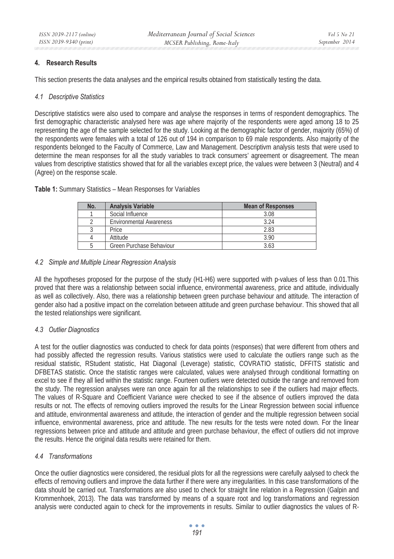# **4. Research Results**

This section presents the data analyses and the empirical results obtained from statistically testing the data.

# *4.1 Descriptive Statistics*

Descriptive statistics were also used to compare and analyse the responses in terms of respondent demographics. The first demographic characteristic analysed here was age where majority of the respondents were aged among 18 to 25 representing the age of the sample selected for the study. Looking at the demographic factor of gender, majority (65%) of the respondents were females with a total of 126 out of 194 in comparison to 69 male respondents. Also majority of the respondents belonged to the Faculty of Commerce, Law and Management. Descriptivm analysis tests that were used to determine the mean responses for all the study variables to track consumers' agreement or disagreement. The mean values from descriptive statistics showed that for all the variables except price, the values were between 3 (Neutral) and 4 (Agree) on the response scale.

| Table 1: Summary Statistics - Mean Responses for Variables |
|------------------------------------------------------------|
|------------------------------------------------------------|

| No. | <b>Analysis Variable</b>       | <b>Mean of Responses</b> |
|-----|--------------------------------|--------------------------|
|     | Social Influence               | 3.08                     |
|     | <b>Environmental Awareness</b> | 3.24                     |
|     | Price                          | 2.83                     |
|     | Attitude                       | 3.90                     |
|     | Green Purchase Behaviour       | 3.63                     |

# *4.2 Simple and Multiple Linear Regression Analysis*

All the hypotheses proposed for the purpose of the study (H1-H6) were supported with p-values of less than 0.01.This proved that there was a relationship between social influence, environmental awareness, price and attitude, individually as well as collectively. Also, there was a relationship between green purchase behaviour and attitude. The interaction of gender also had a positive impact on the correlation between attitude and green purchase behaviour. This showed that all the tested relationships were significant.

# *4.3 Outlier Diagnostics*

A test for the outlier diagnostics was conducted to check for data points (responses) that were different from others and had possibly affected the regression results. Various statistics were used to calculate the outliers range such as the residual statistic, RStudent statistic, Hat Diagonal (Leverage) statistic, COVRATIO statistic, DFFITS statistic and DFBETAS statistic. Once the statistic ranges were calculated, values were analysed through conditional formatting on excel to see if they all lied within the statistic range. Fourteen outliers were detected outside the range and removed from the study. The regression analyses were ran once again for all the relationships to see if the outliers had major effects. The values of R-Square and Coefficient Variance were checked to see if the absence of outliers improved the data results or not. The effects of removing outliers improved the results for the Linear Regression between social influence and attitude, environmental awareness and attitude, the interaction of gender and the multiple regression between social influence, environmental awareness, price and attitude. The new results for the tests were noted down. For the linear regressions between price and attitude and attitude and green purchase behaviour, the effect of outliers did not improve the results. Hence the original data results were retained for them.

# *4.4 Transformations*

Once the outlier diagnostics were considered, the residual plots for all the regressions were carefully aalysed to check the effects of removing outliers and improve the data further if there were any irregularities. In this case transformations of the data should be carried out. Transformations are also used to check for straight line relation in a Regression (Galpin and Krommenhoek, 2013). The data was transformed by means of a square root and log transformations and regression analysis were conducted again to check for the improvements in results. Similar to outlier diagnostics the values of R-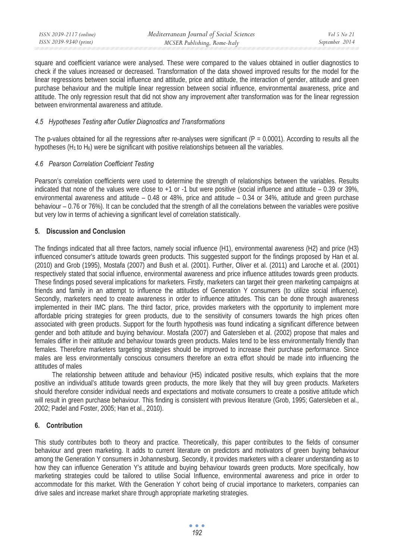| ISSN 2039-2117 (online) | Mediterranean Journal of Social Sciences | Vol 5 No 21    |
|-------------------------|------------------------------------------|----------------|
| ISSN 2039-9340 (print)  | MCSER Publishing, Rome-Italy             | September 2014 |

square and coefficient variance were analysed. These were compared to the values obtained in outlier diagnostics to check if the values increased or decreased. Transformation of the data showed improved results for the model for the linear regressions between social influence and attitude, price and attitude, the interaction of gender, attitude and green purchase behaviour and the multiple linear regression between social influence, environmental awareness, price and attitude. The only regression result that did not show any improvement after transformation was for the linear regression between environmental awareness and attitude.

#### *4.5 Hypotheses Testing after Outlier Diagnostics and Transformations*

The p-values obtained for all the regressions after re-analyses were significant ( $P = 0.0001$ ). According to results all the hypotheses (H<sub>1</sub> to H<sub>6</sub>) were be significant with positive relationships between all the variables.

#### *4.6 Pearson Correlation Coefficient Testing*

Pearson's correlation coefficients were used to determine the strength of relationships between the variables. Results indicated that none of the values were close to +1 or -1 but were positive (social influence and attitude – 0.39 or 39%, environmental awareness and attitude – 0.48 or 48%, price and attitude – 0.34 or 34%, attitude and green purchase behaviour – 0.76 or 76%). It can be concluded that the strength of all the correlations between the variables were positive but very low in terms of achieving a significant level of correlation statistically.

#### **5. Discussion and Conclusion**

The findings indicated that all three factors, namely social influence (H1), environmental awareness (H2) and price (H3) influenced consumer's attitude towards green products. This suggested support for the findings proposed by Han et al. (2010) and Grob (1995), Mostafa (2007) and Bush et al. (2001). Further, Oliver et al. (2011) and Laroche et al. (2001) respectively stated that social influence, environmental awareness and price influence attitudes towards green products. These findings posed several implications for marketers. Firstly, marketers can target their green marketing campaigns at friends and family in an attempt to influence the attitudes of Generation Y consumers (to utilize social influence). Secondly, marketers need to create awareness in order to influence attitudes. This can be done through awareness implemented in their IMC plans. The third factor, price, provides marketers with the opportunity to implement more affordable pricing strategies for green products, due to the sensitivity of consumers towards the high prices often associated with green products. Support for the fourth hypothesis was found indicating a significant difference between gender and both attitude and buying behaviour. Mostafa (2007) and Gatersleben et al. (2002) propose that males and females differ in their attitude and behaviour towards green products. Males tend to be less environmentally friendly than females. Therefore marketers targeting strategies should be improved to increase their purchase performance. Since males are less environmentally conscious consumers therefore an extra effort should be made into influencing the attitudes of males

The relationship between attitude and behaviour (H5) indicated positive results, which explains that the more positive an individual's attitude towards green products, the more likely that they will buy green products. Marketers should therefore consider individual needs and expectations and motivate consumers to create a positive attitude which will result in green purchase behaviour. This finding is consistent with previous literature (Grob, 1995; Gatersleben et al., 2002; Padel and Foster, 2005; Han et al., 2010).

#### **6. Contribution**

This study contributes both to theory and practice. Theoretically, this paper contributes to the fields of consumer behaviour and green marketing. It adds to current literature on predictors and motivators of green buying behaviour among the Generation Y consumers in Johannesburg. Secondly, it provides marketers with a clearer understanding as to how they can influence Generation Y's attitude and buying behaviour towards green products. More specifically, how marketing strategies could be tailored to utilise Social Influence, environmental awareness and price in order to accommodate for this market. With the Generation Y cohort being of crucial importance to marketers, companies can drive sales and increase market share through appropriate marketing strategies.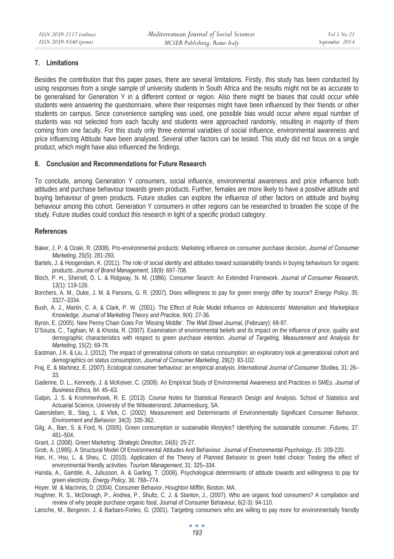# **7. Limitations**

Besides the contribution that this paper poses, there are several limitations. Firstly, this study has been conducted by using responses from a single sample of university students in South Africa and the results might not be as accurate to be generalised for Generation Y in a different context or region. Also there might be biases that could occur while students were answering the questionnaire, where their responses might have been influenced by their friends or other students on campus. Since convenience sampling was used, one possible bias would occur where equal number of students was not selected from each faculty and students were approached randomly, resulting in majority of them coming from one faculty. For this study only three external variables of social influence, environmental awareness and price influencing Attitude have been analysed. Several other factors can be tested. This study did not focus on a single product, which might have also influenced the findings.

#### **8. Conclusion and Recommendations for Future Research**

To conclude, among Generation Y consumers, social influence, environmental awareness and price influence both attitudes and purchase behaviour towards green products. Further, females are more likely to have a positive attitude and buying behaviour of green products. Future studies can explore the influence of other factors on attitude and buying behaviour among this cohort. Generation Y consumers in other regions can be researched to broaden the scope of the study. Future studies could conduct this research in light of a specific product category.

#### **References**

- Baker, J. P. & Ozaki, R. (2008). Pro-environmental products: Marketing influence on consumer purchase decision, *Journal of Consumer Marketing*, 25(5): 281-293.
- Bartels, J. & Hoogendam, K. (2011). The role of social identity and attitudes toward sustainability brands in buying behaviours for organic products. *Journal of Brand Management*, 18(9): 697-708.
- Bloch, P. H., Sherrell, D. L. & Ridgway, N. M. (1986). Consumer Search: An Extended Framework*. Journal of Consumer Research*, 13(1): 119-126.
- Borchers, A. M., Duke, J. M. & Parsons, G. R. (2007). Does willingness to pay for green energy differ by source? *Energy Policy*, 35: 3327–3334.
- Bush, A. J., Martin, C. A. & Clark, P. W. (2001). The Effect of Role Model Influence on Adolescents' Materialism and Marketplace Knowledge. *Journal of Marketing Theory and Practice*, 9(4): 27-36.
- Byron, E. (2005). New Penny Chain Goes For 'Missing Middle'. *The Wall Street Journal*, (February): 68-97.
- D'Souza, C., Taghian, M. & Khosla, R. (2007). Examination of environmental beliefs and its impact on the influence of price, quality and demographic characteristics with respect to green purchase intention. *Journal of Targeting, Measurement and Analysis for Marketing*, 15(2): 69-78.
- Eastman, J.K. & Liu, J. (2012). The impact of generational cohorts on status consumption: an exploratory look at generational cohort and demographics on status consumption, *Journal of Consumer Marketing*, 29(2): 93-102.
- Fraj, E. & Martinez, E. (2007). Ecological consumer behaviour: an empirical analysis. *International Journal of Consumer Studies*, 31: 26– 33.
- Gadenne, D. L., Kennedy, J. & McKeiver, C. (2009). An Empirical Study of Environmental Awareness and Practices in SMEs. *Journal of Business Ethics*, 84: 45–63.
- Galpin, J. S. & Krommenhoek, R. E. (2013). Course Notes for Statistical Research Design and Analysis. School of Statistics and Actuarial Science, University of the Witwatersrand, Johannesburg, SA.
- Gatersleben, B., Steg, L. & Vlek, C. (2002). Measurement and Determinants of Environmentally Significant Consumer Behavior. *Environment and Behavior*, 34(3): 335-362.
- Gilg, A., Barr, S. & Ford, N. (2005). Green consumption or sustainable lifestyles? Identifying the sustainable consumer. *Futures*, 37: 481–504.
- Grant, J. (2008). Green Marketing. *Strategic Direction*, 24(6): 25-27.
- Grob, A. (1995). A Structural Model Of Environmental Attitudes And Behaviour. *Journal of Environmental Psychology*, 15: 209-220.
- Han, H., Hsu, L. & Sheu, C. (2010). Application of the Theory of Planned Behavior to green hotel choice: Testing the effect of environmental friendly activities. *Tourism Management*, 31: 325–334.
- Hansla, A., Gamble, A., Juliusson, A. & Garling, T. (2008). Psychological determinants of attitude towards and willingness to pay for green electricity. *Energy Policy*, 36: 768–774.
- Hoyer, W. & MacInnis, D. (2004). Consumer Behavior, Houghton Mifflin, Boston, MA.
- Hughner, R. S., McDonagh, P., Andrea, P., Shultz, C. J. & Stanton, J., (2007). Who are organic food consumers? A compilation and review of why people purchase organic food, Journal of Consumer Behaviour, 6(2-3): 94-110.
- Laroche, M., Bergeron, J. & Barbaro-Forleo, G. (2001). Targeting consumers who are willing to pay more for environmentally friendly